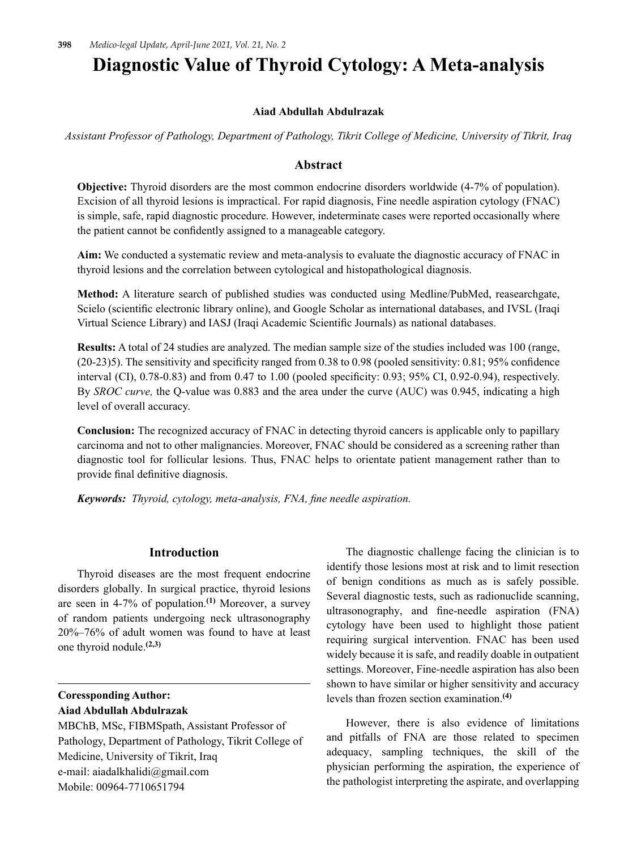# **Diagnostic Value of Thyroid Cytology: A Meta-analysis**

### **Aiad Abdullah Abdulrazak**

*Assistant Professor of Pathology, Department of Pathology, Tikrit College of Medicine, University of Tikrit, Iraq*

# **Abstract**

**Objective:** Thyroid disorders are the most common endocrine disorders worldwide (4-7% of population). Excision of all thyroid lesions is impractical. For rapid diagnosis, Fine needle aspiration cytology (FNAC) is simple, safe, rapid diagnostic procedure. However, indeterminate cases were reported occasionally where the patient cannot be confidently assigned to a manageable category.

**Aim:** We conducted a systematic review and meta-analysis to evaluate the diagnostic accuracy of FNAC in thyroid lesions and the correlation between cytological and histopathological diagnosis.

**Method:** A literature search of published studies was conducted using Medline/PubMed, reasearchgate, Scielo (scientific electronic library online), and Google Scholar as international databases, and IVSL (Iraqi Virtual Science Library) and IASJ (Iraqi Academic Scientific Journals) as national databases.

**Results:** A total of 24 studies are analyzed. The median sample size of the studies included was 100 (range, (20‑23)5). The sensitivity and specificity ranged from 0.38 to 0.98 (pooled sensitivity: 0.81; 95% confidence interval (CI), 0.78‑0.83) and from 0.47 to 1.00 (pooled specificity: 0.93; 95% CI, 0.92‑0.94), respectively. By *SROC curve,* the Q-value was 0.883 and the area under the curve (AUC) was 0.945, indicating a high level of overall accuracy.

**Conclusion:** The recognized accuracy of FNAC in detecting thyroid cancers is applicable only to papillary carcinoma and not to other malignancies. Moreover, FNAC should be considered as a screening rather than diagnostic tool for follicular lesions. Thus, FNAC helps to orientate patient management rather than to provide final definitive diagnosis.

*Keywords: Thyroid, cytology, meta-analysis, FNA, fine needle aspiration.*

#### **Introduction**

Thyroid diseases are the most frequent endocrine disorders globally. In surgical practice, thyroid lesions are seen in 4-7% of population.**(1)** Moreover, a survey of random patients undergoing neck ultrasonography 20%–76% of adult women was found to have at least one thyroid nodule.**(2,3)**

# **Coressponding Author: Aiad Abdullah Abdulrazak**

MBChB, MSc, FIBMSpath, Assistant Professor of Pathology, Department of Pathology, Tikrit College of Medicine, University of Tikrit, Iraq e-mail: aiadalkhalidi@gmail.com Mobile: 00964-7710651794

The diagnostic challenge facing the clinician is to identify those lesions most at risk and to limit resection of benign conditions as much as is safely possible. Several diagnostic tests, such as radionuclide scanning, ultrasonography, and fine-needle aspiration (FNA) cytology have been used to highlight those patient requiring surgical intervention. FNAC has been used widely because it is safe, and readily doable in outpatient settings. Moreover, Fine-needle aspiration has also been shown to have similar or higher sensitivity and accuracy levels than frozen section examination.**(4)**

However, there is also evidence of limitations and pitfalls of FNA are those related to specimen adequacy, sampling techniques, the skill of the physician performing the aspiration, the experience of the pathologist interpreting the aspirate, and overlapping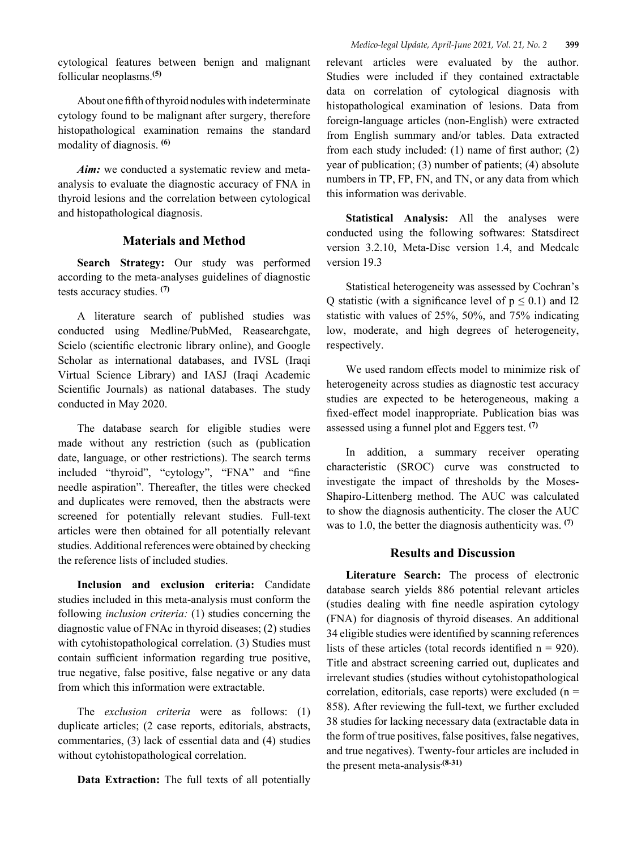About one fifth of thyroid nodules with indeterminate cytology found to be malignant after surgery, therefore histopathological examination remains the standard modality of diagnosis. **(6)**

*Aim:* we conducted a systematic review and metaanalysis to evaluate the diagnostic accuracy of FNA in thyroid lesions and the correlation between cytological and histopathological diagnosis.

# **Materials and Method**

**Search Strategy:** Our study was performed according to the meta-analyses guidelines of diagnostic tests accuracy studies. **(7)**

A literature search of published studies was conducted using Medline/PubMed, Reasearchgate, Scielo (scientific electronic library online), and Google Scholar as international databases, and IVSL (Iraqi Virtual Science Library) and IASJ (Iraqi Academic Scientific Journals) as national databases. The study conducted in May 2020.

The database search for eligible studies were made without any restriction (such as (publication date, language, or other restrictions). The search terms included "thyroid", "cytology", "FNA" and "fine needle aspiration". Thereafter, the titles were checked and duplicates were removed, then the abstracts were screened for potentially relevant studies. Full-text articles were then obtained for all potentially relevant studies. Additional references were obtained by checking the reference lists of included studies.

**Inclusion and exclusion criteria:** Candidate studies included in this meta-analysis must conform the following *inclusion criteria:* (1) studies concerning the diagnostic value of FNAc in thyroid diseases; (2) studies with cytohistopathological correlation. (3) Studies must contain sufficient information regarding true positive, true negative, false positive, false negative or any data from which this information were extractable.

The *exclusion criteria* were as follows: (1) duplicate articles; (2 case reports, editorials, abstracts, commentaries, (3) lack of essential data and (4) studies without cytohistopathological correlation.

**Data Extraction:** The full texts of all potentially

relevant articles were evaluated by the author. Studies were included if they contained extractable data on correlation of cytological diagnosis with histopathological examination of lesions. Data from foreign-language articles (non-English) were extracted from English summary and/or tables. Data extracted from each study included: (1) name of first author; (2) year of publication; (3) number of patients; (4) absolute numbers in TP, FP, FN, and TN, or any data from which this information was derivable.

**Statistical Analysis:** All the analyses were conducted using the following softwares: Statsdirect version 3.2.10, Meta-Disc version 1.4, and Medcalc version 19.3

Statistical heterogeneity was assessed by Cochran's Q statistic (with a significance level of  $p \le 0.1$ ) and I2 statistic with values of 25%, 50%, and 75% indicating low, moderate, and high degrees of heterogeneity, respectively.

We used random effects model to minimize risk of heterogeneity across studies as diagnostic test accuracy studies are expected to be heterogeneous, making a fixed-effect model inappropriate. Publication bias was assessed using a funnel plot and Eggers test. **(7)**

In addition, a summary receiver operating characteristic (SROC) curve was constructed to investigate the impact of thresholds by the Moses-Shapiro-Littenberg method. The AUC was calculated to show the diagnosis authenticity. The closer the AUC was to 1.0, the better the diagnosis authenticity was. **(7)**

# **Results and Discussion**

**Literature Search:** The process of electronic database search yields 886 potential relevant articles (studies dealing with fine needle aspiration cytology (FNA) for diagnosis of thyroid diseases. An additional 34 eligible studies were identified by scanning references lists of these articles (total records identified  $n = 920$ ). Title and abstract screening carried out, duplicates and irrelevant studies (studies without cytohistopathological correlation, editorials, case reports) were excluded  $(n =$ 858). After reviewing the full-text, we further excluded 38 studies for lacking necessary data (extractable data in the form of true positives, false positives, false negatives, and true negatives). Twenty-four articles are included in the present meta-analysis**.(8-31)**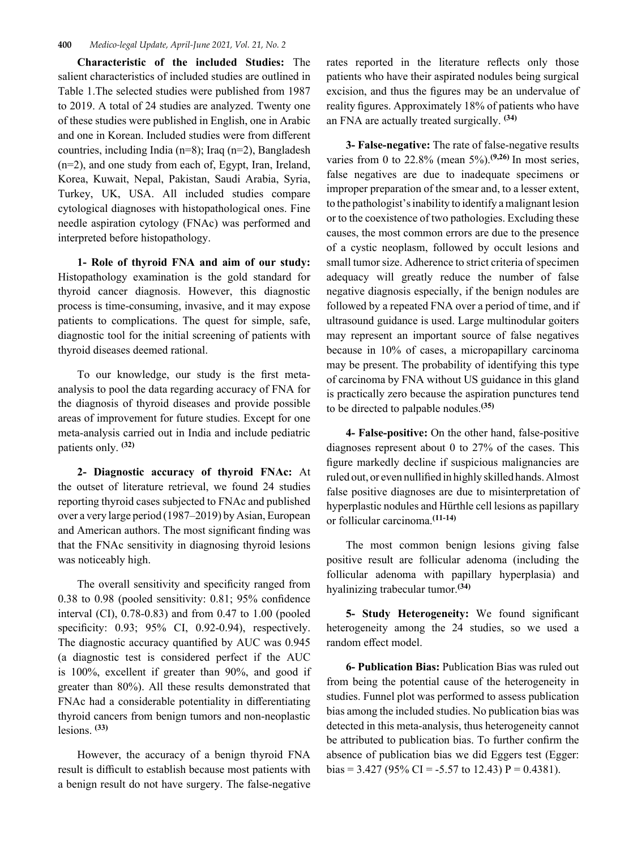#### **400** *Medico-legal Update, April-June 2021, Vol. 21, No. 2*

**Characteristic of the included Studies:** The salient characteristics of included studies are outlined in Table 1.The selected studies were published from 1987 to 2019. A total of 24 studies are analyzed. Twenty one of these studies were published in English, one in Arabic and one in Korean. Included studies were from different countries, including India (n=8); Iraq (n=2), Bangladesh (n=2), and one study from each of, Egypt, Iran, Ireland, Korea, Kuwait, Nepal, Pakistan, Saudi Arabia, Syria, Turkey, UK, USA. All included studies compare cytological diagnoses with histopathological ones. Fine needle aspiration cytology (FNAc) was performed and interpreted before histopathology.

**1- Role of thyroid FNA and aim of our study:**  Histopathology examination is the gold standard for thyroid cancer diagnosis. However, this diagnostic process is time-consuming, invasive, and it may expose patients to complications. The quest for simple, safe, diagnostic tool for the initial screening of patients with thyroid diseases deemed rational.

To our knowledge, our study is the first metaanalysis to pool the data regarding accuracy of FNA for the diagnosis of thyroid diseases and provide possible areas of improvement for future studies. Except for one meta-analysis carried out in India and include pediatric patients only. **(32)**

**2- Diagnostic accuracy of thyroid FNAc:** At the outset of literature retrieval, we found 24 studies reporting thyroid cases subjected to FNAc and published over a very large period (1987–2019) by Asian, European and American authors. The most significant finding was that the FNAc sensitivity in diagnosing thyroid lesions was noticeably high.

The overall sensitivity and specificity ranged from 0.38 to 0.98 (pooled sensitivity: 0.81; 95% confidence interval (CI), 0.78‑0.83) and from 0.47 to 1.00 (pooled specificity: 0.93; 95% CI, 0.92-0.94), respectively. The diagnostic accuracy quantified by AUC was 0.945 (a diagnostic test is considered perfect if the AUC is 100%, excellent if greater than 90%, and good if greater than 80%). All these results demonstrated that FNAc had a considerable potentiality in differentiating thyroid cancers from benign tumors and non-neoplastic lesions. **(33)**

However, the accuracy of a benign thyroid FNA result is difficult to establish because most patients with a benign result do not have surgery. The false-negative rates reported in the literature reflects only those patients who have their aspirated nodules being surgical excision, and thus the figures may be an undervalue of reality figures. Approximately 18% of patients who have an FNA are actually treated surgically. **(34)**

**3- False-negative:** The rate of false-negative results varies from 0 to 22.8% (mean 5%).**(9,26)** In most series, false negatives are due to inadequate specimens or improper preparation of the smear and, to a lesser extent, to the pathologist's inability to identify a malignant lesion or to the coexistence of two pathologies. Excluding these causes, the most common errors are due to the presence of a cystic neoplasm, followed by occult lesions and small tumor size. Adherence to strict criteria of specimen adequacy will greatly reduce the number of false negative diagnosis especially, if the benign nodules are followed by a repeated FNA over a period of time, and if ultrasound guidance is used. Large multinodular goiters may represent an important source of false negatives because in 10% of cases, a micropapillary carcinoma may be present. The probability of identifying this type of carcinoma by FNA without US guidance in this gland is practically zero because the aspiration punctures tend to be directed to palpable nodules.**(35)**

**4- False-positive:** On the other hand, false-positive diagnoses represent about 0 to 27% of the cases. This figure markedly decline if suspicious malignancies are ruled out, or even nullified in highly skilled hands. Almost false positive diagnoses are due to misinterpretation of hyperplastic nodules and Hürthle cell lesions as papillary or follicular carcinoma.**(11-14)**

The most common benign lesions giving false positive result are follicular adenoma (including the follicular adenoma with papillary hyperplasia) and hyalinizing trabecular tumor.**(34)**

**5- Study Heterogeneity:** We found significant heterogeneity among the 24 studies, so we used a random effect model.

**6- Publication Bias:** Publication Bias was ruled out from being the potential cause of the heterogeneity in studies. Funnel plot was performed to assess publication bias among the included studies. No publication bias was detected in this meta-analysis, thus heterogeneity cannot be attributed to publication bias. To further confirm the absence of publication bias we did Eggers test (Egger: bias = 3.427 (95% CI = -5.57 to 12.43) P = 0.4381).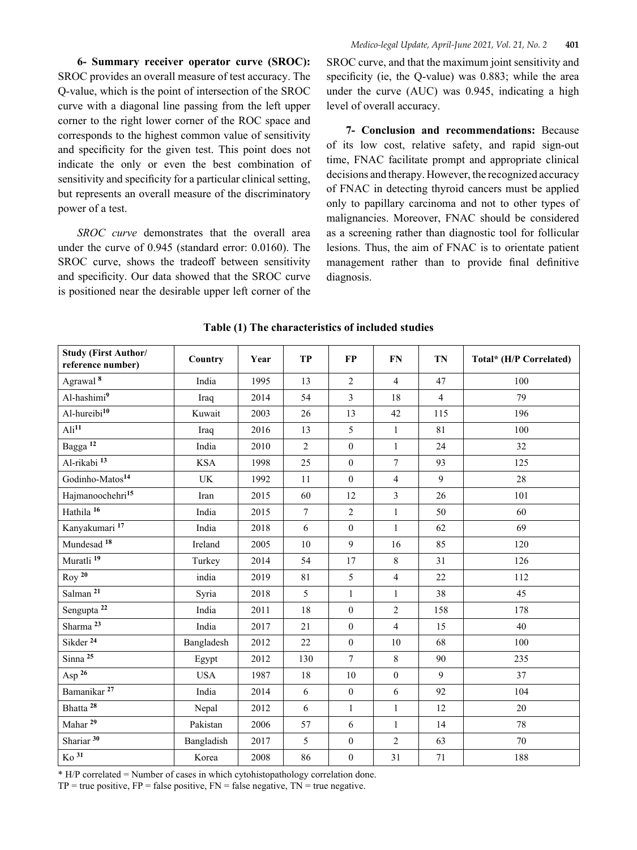**6- Summary receiver operator curve (SROC):**  SROC provides an overall measure of test accuracy. The Q‑value, which is the point of intersection of the SROC curve with a diagonal line passing from the left upper corner to the right lower corner of the ROC space and corresponds to the highest common value of sensitivity and specificity for the given test. This point does not indicate the only or even the best combination of sensitivity and specificity for a particular clinical setting, but represents an overall measure of the discriminatory power of a test.

*SROC curve* demonstrates that the overall area under the curve of 0.945 (standard error: 0.0160). The SROC curve, shows the tradeoff between sensitivity and specificity. Our data showed that the SROC curve is positioned near the desirable upper left corner of the

SROC curve, and that the maximum joint sensitivity and specificity (ie, the Q-value) was 0.883; while the area under the curve (AUC) was 0.945, indicating a high level of overall accuracy.

**7- Conclusion and recommendations:** Because of its low cost, relative safety, and rapid sign-out time, FNAC facilitate prompt and appropriate clinical decisions and therapy. However, the recognized accuracy of FNAC in detecting thyroid cancers must be applied only to papillary carcinoma and not to other types of malignancies. Moreover, FNAC should be considered as a screening rather than diagnostic tool for follicular lesions. Thus, the aim of FNAC is to orientate patient management rather than to provide final definitive diagnosis.

| <b>Study (First Author/</b><br>reference number) | Country    | Year | TP             | <b>FP</b>        | <b>FN</b>               | TN             | Total* (H/P Correlated) |
|--------------------------------------------------|------------|------|----------------|------------------|-------------------------|----------------|-------------------------|
| Agrawal <sup>8</sup>                             | India      | 1995 | 13             | $\overline{2}$   | $\overline{\mathbf{4}}$ | 47             | 100                     |
| Al-hashimi9                                      | Iraq       | 2014 | 54             | 3                | 18                      | $\overline{4}$ | 79                      |
| Al-hureibi <sup>10</sup>                         | Kuwait     | 2003 | 26             | 13               | 42                      | 115            | 196                     |
| $\text{Ali}^{11}$                                | Iraq       | 2016 | 13             | 5                | $\mathbf{1}$            | 81             | 100                     |
| Bagga <sup>12</sup>                              | India      | 2010 | $\overline{2}$ | $\boldsymbol{0}$ | $\mathbf{1}$            | 24             | 32                      |
| Al-rikabi <sup>13</sup>                          | <b>KSA</b> | 1998 | 25             | $\boldsymbol{0}$ | $\tau$                  | 93             | 125                     |
| Godinho-Matos <sup>14</sup>                      | <b>UK</b>  | 1992 | 11             | $\mathbf{0}$     | $\overline{4}$          | 9              | 28                      |
| Hajmanoochehri <sup>15</sup>                     | Iran       | 2015 | 60             | 12               | 3                       | 26             | 101                     |
| Hathila <sup>16</sup>                            | India      | 2015 | $\overline{7}$ | $\overline{2}$   | $\,1$                   | 50             | 60                      |
| Kanyakumari <sup>17</sup>                        | India      | 2018 | 6              | $\mathbf{0}$     | $\mathbf{1}$            | 62             | 69                      |
| Mundesad 18                                      | Ireland    | 2005 | 10             | 9                | 16                      | 85             | 120                     |
| Muratli <sup>19</sup>                            | Turkey     | 2014 | 54             | $17\,$           | $\,8\,$                 | 31             | 126                     |
| $Roy$ <sup>20</sup>                              | india      | 2019 | 81             | 5                | $\overline{4}$          | 22             | 112                     |
| Salman <sup>21</sup>                             | Syria      | 2018 | 5              | $\mathbf{1}$     | $\,1$                   | 38             | 45                      |
| Sengupta <sup>22</sup>                           | India      | 2011 | 18             | $\boldsymbol{0}$ | $\overline{c}$          | 158            | 178                     |
| Sharma <sup>23</sup>                             | India      | 2017 | 21             | $\overline{0}$   | $\overline{4}$          | 15             | 40                      |
| Sikder <sup>24</sup>                             | Bangladesh | 2012 | 22             | $\overline{0}$   | 10                      | 68             | 100                     |
| $Sinna$ <sup>25</sup>                            | Egypt      | 2012 | 130            | $\overline{7}$   | 8                       | 90             | 235                     |
| Asp $^{26}$                                      | <b>USA</b> | 1987 | 18             | 10               | $\boldsymbol{0}$        | 9              | 37                      |
| Bamanikar <sup>27</sup>                          | India      | 2014 | 6              | $\boldsymbol{0}$ | 6                       | 92             | 104                     |
| Bhatta <sup>28</sup>                             | Nepal      | 2012 | 6              | $\mathbf{1}$     | $\mathbf{1}$            | 12             | 20                      |
| Mahar <sup>29</sup>                              | Pakistan   | 2006 | 57             | 6                | $\mathbf{1}$            | 14             | 78                      |
| Shariar <sup>30</sup>                            | Bangladish | 2017 | 5              | $\boldsymbol{0}$ | $\overline{c}$          | 63             | 70                      |
| $\overline{K_0}$ 31                              | Korea      | 2008 | 86             | $\boldsymbol{0}$ | 31                      | 71             | 188                     |

**Table (1) The characteristics of included studies**

\* H/P correlated = Number of cases in which cytohistopathology correlation done.

 $TP = true$  positive,  $FP = false$  positive,  $FN = false$  negative,  $TN = true$  negative.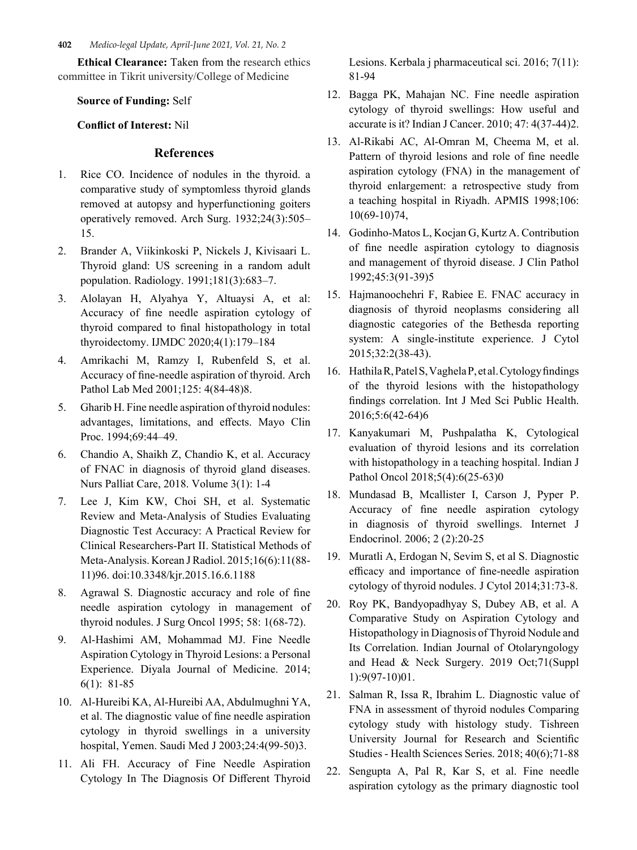**402** *Medico-legal Update, April-June 2021, Vol. 21, No. 2*

**Ethical Clearance:** Taken from the research ethics committee in Tikrit university/College of Medicine

**Source of Funding:** Self

**Conflict of Interest:** Nil

## **References**

- 1. Rice CO. Incidence of nodules in the thyroid. a comparative study of symptomless thyroid glands removed at autopsy and hyperfunctioning goiters operatively removed. Arch Surg. 1932;24(3):505– 15.
- 2. Brander A, Viikinkoski P, Nickels J, Kivisaari L. Thyroid gland: US screening in a random adult population. Radiology. 1991;181(3):683–7.
- 3. Alolayan H, Alyahya Y, Altuaysi A, et al: Accuracy of fine needle aspiration cytology of thyroid compared to final histopathology in total thyroidectomy. IJMDC 2020;4(1):179–184
- 4. Amrikachi M, Ramzy I, Rubenfeld S, et al. Accuracy of fine-needle aspiration of thyroid. Arch Pathol Lab Med 2001;125: 4(84-48)8.
- 5. Gharib H. Fine needle aspiration of thyroid nodules: advantages, limitations, and effects. Mayo Clin Proc. 1994;69:44–49.
- 6. Chandio A, Shaikh Z, Chandio K, et al. Accuracy of FNAC in diagnosis of thyroid gland diseases. Nurs Palliat Care, 2018. Volume 3(1): 1-4
- 7. Lee J, Kim KW, Choi SH, et al. Systematic Review and Meta-Analysis of Studies Evaluating Diagnostic Test Accuracy: A Practical Review for Clinical Researchers-Part II. Statistical Methods of Meta-Analysis. Korean J Radiol. 2015;16(6):11(88- 11)96. doi:10.3348/kjr.2015.16.6.1188
- 8. Agrawal S. Diagnostic accuracy and role of fine needle aspiration cytology in management of thyroid nodules. J Surg Oncol 1995; 58: 1(68-72).
- 9. Al-Hashimi AM, Mohammad MJ. Fine Needle Aspiration Cytology in Thyroid Lesions: a Personal Experience. Diyala Journal of Medicine. 2014; 6(1): 81-85
- 10. Al-Hureibi KA, Al-Hureibi AA, Abdulmughni YA, et al. The diagnostic value of fine needle aspiration cytology in thyroid swellings in a university hospital, Yemen. Saudi Med J 2003;24:4(99-50)3.
- 11. Ali FH. Accuracy of Fine Needle Aspiration Cytology In The Diagnosis Of Different Thyroid

Lesions. Kerbala j pharmaceutical sci. 2016; 7(11): 81-94

- 12. Bagga PK, Mahajan NC. Fine needle aspiration cytology of thyroid swellings: How useful and accurate is it? Indian J Cancer. 2010; 47: 4(37-44)2.
- 13. Al-Rikabi AC, Al-Omran M, Cheema M, et al. Pattern of thyroid lesions and role of fine needle aspiration cytology (FNA) in the management of thyroid enlargement: a retrospective study from a teaching hospital in Riyadh. APMIS 1998;106: 10(69-10)74,
- 14. Godinho-Matos L, Kocjan G, Kurtz A. Contribution of fine needle aspiration cytology to diagnosis and management of thyroid disease. J Clin Pathol 1992;45:3(91-39)5
- 15. Hajmanoochehri F, Rabiee E. FNAC accuracy in diagnosis of thyroid neoplasms considering all diagnostic categories of the Bethesda reporting system: A single-institute experience. J Cytol 2015;32:2(38-43).
- 16. Hathila R, Patel S, Vaghela P, et al. Cytology findings of the thyroid lesions with the histopathology findings correlation. Int J Med Sci Public Health. 2016;5:6(42-64)6
- 17. Kanyakumari M, Pushpalatha K, Cytological evaluation of thyroid lesions and its correlation with histopathology in a teaching hospital. Indian J Pathol Oncol 2018;5(4):6(25-63)0
- 18. Mundasad B, Mcallister I, Carson J, Pyper P. Accuracy of fine needle aspiration cytology in diagnosis of thyroid swellings. Internet J Endocrinol. 2006; 2 (2):20-25
- 19. Muratli A, Erdogan N, Sevim S, et al S. Diagnostic efficacy and importance of fine-needle aspiration cytology of thyroid nodules. J Cytol 2014;31:73-8.
- 20. Roy PK, Bandyopadhyay S, Dubey AB, et al. A Comparative Study on Aspiration Cytology and Histopathology in Diagnosis of Thyroid Nodule and Its Correlation. Indian Journal of Otolaryngology and Head & Neck Surgery. 2019 Oct;71(Suppl 1):9(97-10)01.
- 21. Salman R, Issa R, Ibrahim L. Diagnostic value of FNA in assessment of thyroid nodules Comparing cytology study with histology study. Tishreen University Journal for Research and Scientific Studies - Health Sciences Series. 2018; 40(6);71-88
- 22. Sengupta A, Pal R, Kar S, et al. Fine needle aspiration cytology as the primary diagnostic tool